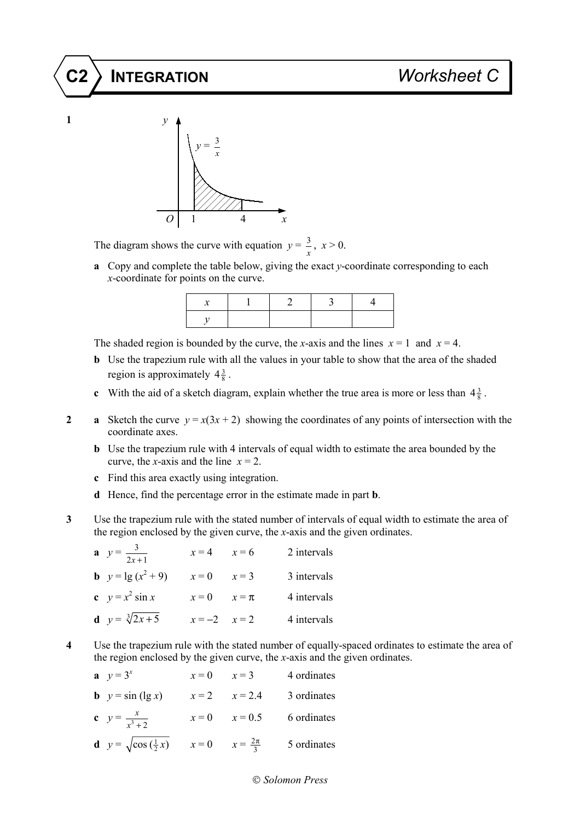## **C2 INTEGRATION** *Worksheet C*





The diagram shows the curve with equation  $y = \frac{3}{2}$  $\frac{3}{x}$ ,  $x > 0$ .

**a** Copy and complete the table below, giving the exact *y*-coordinate corresponding to each *x*-coordinate for points on the curve.

The shaded region is bounded by the curve, the *x*-axis and the lines  $x = 1$  and  $x = 4$ .

- **b** Use the trapezium rule with all the values in your table to show that the area of the shaded region is approximately  $4\frac{3}{8}$ .
- **c** With the aid of a sketch diagram, explain whether the true area is more or less than  $4\frac{3}{8}$ .
- **2 a** Sketch the curve  $y = x(3x + 2)$  showing the coordinates of any points of intersection with the coordinate axes.
	- **b** Use the trapezium rule with 4 intervals of equal width to estimate the area bounded by the curve, the *x*-axis and the line  $x = 2$ .
	- **c** Find this area exactly using integration.
	- **d** Hence, find the percentage error in the estimate made in part **b**.
- **3** Use the trapezium rule with the stated number of intervals of equal width to estimate the area of the region enclosed by the given curve, the *x*-axis and the given ordinates.

| <b>a</b> $y = \frac{3}{2x+1}$ | $x = 4$ $x = 6$  | 2 intervals |
|-------------------------------|------------------|-------------|
| <b>b</b> $y = \lg(x^2 + 9)$   | $x = 0$ $x = 3$  | 3 intervals |
| c $y = x^2 \sin x$            | $x=0$ $x=\pi$    | 4 intervals |
| <b>d</b> $y = \sqrt[3]{2x+5}$ | $x = -2$ $x = 2$ | 4 intervals |

**4** Use the trapezium rule with the stated number of equally-spaced ordinates to estimate the area of the region enclosed by the given curve, the *x*-axis and the given ordinates.

| <b>a</b> $y = 3^x$                                                    | $x = 0$ $x = 3$ |                   | 4 ordinates |
|-----------------------------------------------------------------------|-----------------|-------------------|-------------|
| <b>b</b> $y = \sin(\lg x)$                                            |                 | $x = 2$ $x = 2.4$ | 3 ordinates |
| <b>c</b> $y = \frac{x}{x^3 + 2}$                                      |                 | $x = 0$ $x = 0.5$ | 6 ordinates |
| <b>d</b> $y = \sqrt{\cos(\frac{1}{2}x)}$ $x = 0$ $x = \frac{2\pi}{3}$ |                 |                   | 5 ordinates |

## *Solomon Press*